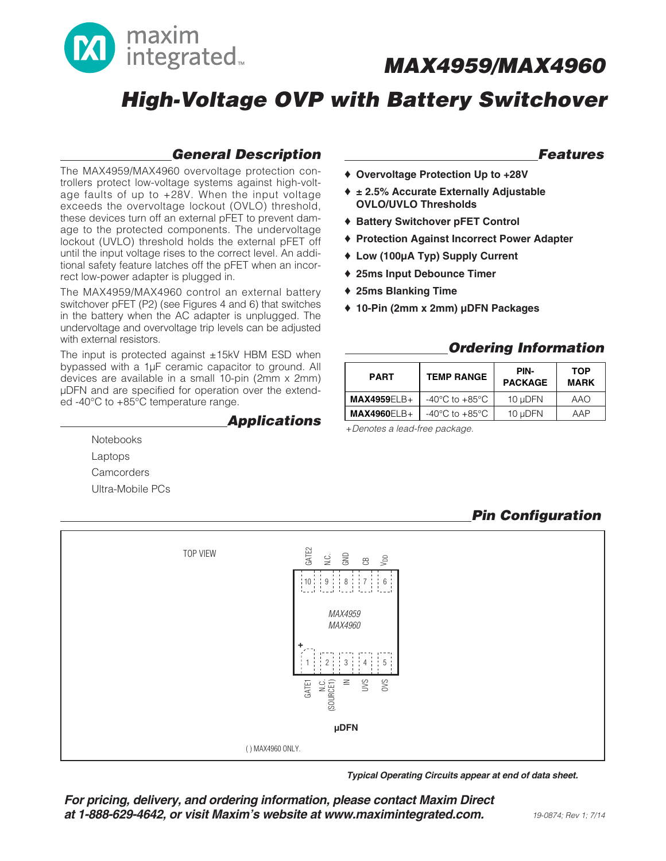

## **High-Voltage OVP with Battery Switchover**

### **General Description**

The MAX4959/MAX4960 overvoltage protection controllers protect low-voltage systems against high-voltage faults of up to +28V. When the input voltage exceeds the overvoltage lockout (OVLO) threshold, these devices turn off an external pFET to prevent damage to the protected components. The undervoltage lockout (UVLO) threshold holds the external pFET off until the input voltage rises to the correct level. An additional safety feature latches off the pFET when an incorrect low-power adapter is plugged in.

The MAX4959/MAX4960 control an external battery switchover pFET (P2) (see Figures 4 and 6) that switches in the battery when the AC adapter is unplugged. The undervoltage and overvoltage trip levels can be adjusted with external resistors.

The input is protected against  $\pm$ 15kV HBM ESD when bypassed with a 1µF ceramic capacitor to ground. All devices are available in a small 10-pin (2mm x 2mm) µDFN and are specified for operation over the extended -40°C to +85°C temperature range.

> **Notebooks** Laptops **Camcorders** Ultra-Mobile PCs

#### **Applications**

#### **Features**

- ♦ **Overvoltage Protection Up to +28V**
- ♦ **± 2.5% Accurate Externally Adjustable OVLO/UVLO Thresholds**
- ♦ **Battery Switchover pFET Control**
- ♦ **Protection Against Incorrect Power Adapter**
- ♦ **Low (100µA Typ) Supply Current**
- ♦ **25ms Input Debounce Timer**
- ♦ **25ms Blanking Time**
- ♦ **10-Pin (2mm x 2mm) µDFN Packages**

### **Ordering Information**

| <b>PART</b>   | <b>TEMP RANGE</b>                    | PIN-<br><b>PACKAGE</b> | <b>TOP</b><br><b>MARK</b> |  |
|---------------|--------------------------------------|------------------------|---------------------------|--|
| $MAX4959ELB+$ | -40 $^{\circ}$ C to +85 $^{\circ}$ C | 10 uDFN                | AAO                       |  |
| $MAX4960ELB+$ | $-40^{\circ}$ C to $+85^{\circ}$ C   | 10 uDFN                | AAP                       |  |

+Denotes a lead-free package.

## **Pin Configuration**



**Typical Operating Circuits appear at end of data sheet.**

**For pricing, delivery, and ordering information, please contact Maxim Direct at 1-888-629-4642, or visit Maxim's website at www.maximintegrated.com.**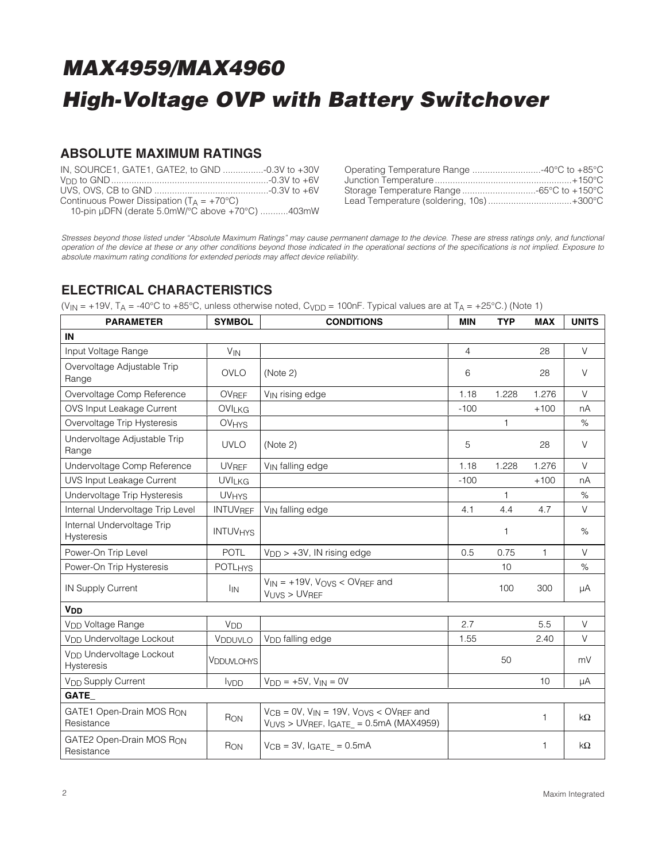### **ABSOLUTE MAXIMUM RATINGS**

| IN, SOURCE1, GATE1, GATE2, to GND -0.3V to +30V       |  |
|-------------------------------------------------------|--|
|                                                       |  |
|                                                       |  |
| Continuous Power Dissipation ( $T_A = +70^{\circ}C$ ) |  |
| 10-pin µDFN (derate 5.0mW/°C above +70°C) 403mW       |  |

| Operating Temperature Range 40°C to +85°C |  |
|-------------------------------------------|--|
|                                           |  |
| Storage Temperature Range 65°C to +150°C  |  |
| Lead Temperature (soldering, 10s)+300°C   |  |

Stresses beyond those listed under "Absolute Maximum Ratings" may cause permanent damage to the device. These are stress ratings only, and functional operation of the device at these or any other conditions beyond those indicated in the operational sections of the specifications is not implied. Exposure to absolute maximum rating conditions for extended periods may affect device reliability.

### **ELECTRICAL CHARACTERISTICS**

(V<sub>IN</sub> = +19V, T<sub>A</sub> = -40°C to +85°C, unless otherwise noted, C<sub>VDD</sub> = 100nF. Typical values are at T<sub>A</sub> = +25°C.) (Note 1)

| <b>PARAMETER</b>                                   | <b>SYMBOL</b>              | <b>CONDITIONS</b>                                                                                        | <b>MIN</b> | <b>TYP</b> | <b>MAX</b>   | <b>UNITS</b> |
|----------------------------------------------------|----------------------------|----------------------------------------------------------------------------------------------------------|------------|------------|--------------|--------------|
| IN                                                 |                            |                                                                                                          |            |            |              |              |
| Input Voltage Range                                | <b>V<sub>IN</sub></b>      |                                                                                                          | 4          |            | 28           | V            |
| Overvoltage Adjustable Trip<br>Range               | <b>OVLO</b>                | (Note 2)                                                                                                 | 6          |            | 28           | V            |
| Overvoltage Comp Reference                         | OVREF                      | V <sub>IN</sub> rising edge                                                                              | 1.18       | 1.228      | 1.276        | V            |
| OVS Input Leakage Current                          | OVILKG                     |                                                                                                          | $-100$     |            | $+100$       | nA           |
| Overvoltage Trip Hysteresis                        | <b>OVHYS</b>               |                                                                                                          |            | 1          |              | $\%$         |
| Undervoltage Adjustable Trip<br>Range              | <b>UVLO</b>                | (Note 2)                                                                                                 | 5          |            | 28           | V            |
| Undervoltage Comp Reference                        | <b>UVREF</b>               | V <sub>IN</sub> falling edge                                                                             | 1.18       | 1.228      | 1.276        | $\vee$       |
| <b>UVS Input Leakage Current</b>                   | <b>UVILKG</b>              |                                                                                                          | $-100$     |            | $+100$       | nA           |
| Undervoltage Trip Hysteresis                       | <b>UVHYS</b>               |                                                                                                          |            | 1          |              | $\%$         |
| Internal Undervoltage Trip Level                   | <b>INTUVREF</b>            | V <sub>IN</sub> falling edge                                                                             | 4.1        | 4.4        | 4.7          | V            |
| Internal Undervoltage Trip<br>Hysteresis           | <b>INTUV<sub>HYS</sub></b> |                                                                                                          |            | 1          |              | %            |
| Power-On Trip Level                                | <b>POTL</b>                | $V_{\text{DD}}$ > +3V, IN rising edge                                                                    | 0.5        | 0.75       | $\mathbf{1}$ | V            |
| Power-On Trip Hysteresis                           | <b>POTLHYS</b>             |                                                                                                          |            | 10         |              | %            |
| <b>IN Supply Current</b>                           | <sup>I</sup> IN            | $V_{IN}$ = +19V, $V_{OVS}$ < OVREF and<br>VUVS > UVREF                                                   |            | 100        | 300          | μA           |
| <b>V<sub>DD</sub></b>                              |                            |                                                                                                          |            |            |              |              |
| V <sub>DD</sub> Voltage Range                      | <b>V<sub>DD</sub></b>      |                                                                                                          | 2.7        |            | 5.5          | $\vee$       |
| V <sub>DD</sub> Undervoltage Lockout               | VDDUVLO                    | V <sub>DD</sub> falling edge                                                                             | 1.55       |            | 2.40         | V            |
| V <sub>DD</sub> Undervoltage Lockout<br>Hysteresis | <b>VDDUVLOHYS</b>          |                                                                                                          |            | 50         |              | mV           |
| V <sub>DD</sub> Supply Current                     | <b>I</b> VDD               | $V_{DD}$ = +5V, $V_{IN}$ = 0V                                                                            |            |            | 10           | μA           |
| GATE_                                              |                            |                                                                                                          |            |            |              |              |
| GATE1 Open-Drain MOS RON<br>Resistance             | RON                        | $V_{CB} = 0V$ , $V_{IN} = 19V$ , $V_{OVS} < 0V_{REF}$ and<br>$VUVS > UVREF$ , $IGATE_ = 0.5mA$ (MAX4959) |            |            | $\mathbf{1}$ | $k\Omega$    |
| GATE2 Open-Drain MOS RON<br>Resistance             | RON                        | $V_{CB} = 3V$ , IGATE = 0.5mA                                                                            |            |            | 1            | $k\Omega$    |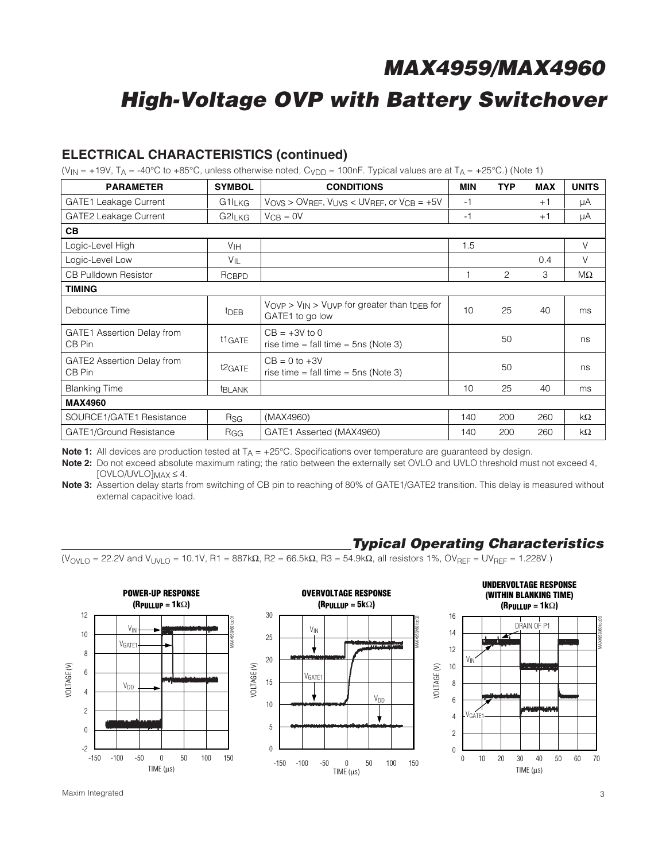## **High-Voltage OVP with Battery Switchover**

#### **ELECTRICAL CHARACTERISTICS (continued)**

(V<sub>IN</sub> = +19V, T<sub>A</sub> = -40°C to +85°C, unless otherwise noted, C<sub>VDD</sub> = 100nF. Typical values are at T<sub>A</sub> = +25°C.) (Note 1)

| <b>PARAMETER</b>                            | <b>SYMBOL</b>       | <b>CONDITIONS</b>                                                                                 | MIN  | <b>TYP</b> | <b>MAX</b> | <b>UNITS</b> |
|---------------------------------------------|---------------------|---------------------------------------------------------------------------------------------------|------|------------|------------|--------------|
| <b>GATE1</b> Leakage Current                | $G1I_LKG$           | $V_{\text{OVS}} > \text{OVREF}$ , $V_{\text{UVS}} < \text{UVREF}$ , or $V_{\text{CB}} = +5V$      | $-1$ |            | $+1$       | μA           |
| <b>GATE2 Leakage Current</b>                | G2I <sub>LKG</sub>  | $V_{CB} = 0V$                                                                                     | $-1$ |            | $+1$       | μA           |
| <b>CB</b>                                   |                     |                                                                                                   |      |            |            |              |
| Logic-Level High                            | V <sub>IH</sub>     |                                                                                                   | 1.5  |            |            | V            |
| Logic-Level Low                             | $V_{IL}$            |                                                                                                   |      |            | 0.4        | V            |
| <b>CB Pulldown Resistor</b>                 | RCBPD               |                                                                                                   |      | 2          | 3          | $M\Omega$    |
| <b>TIMING</b>                               |                     |                                                                                                   |      |            |            |              |
| Debounce Time                               | t <sub>DEB</sub>    | $V_{\rm OVP} > V_{\rm IN} > V_{\rm UVP}$ for greater than t <sub>DEB</sub> for<br>GATE1 to go low | 10   | 25         | 40         | ms           |
| <b>GATE1</b> Assertion Delay from<br>CB Pin | t <sub>1</sub> GATE | $CB = +3V$ to 0<br>rise time = fall time = $5ns$ (Note 3)                                         |      | 50         |            | ns           |
| GATE2 Assertion Delay from<br>CB Pin        | t2GATE              | $CB = 0$ to $+3V$<br>rise time = fall time = $5ns$ (Note 3)                                       |      | 50         |            | ns           |
| <b>Blanking Time</b>                        | <b>EBLANK</b>       |                                                                                                   | 10   | 25         | 40         | ms           |
| <b>MAX4960</b>                              |                     |                                                                                                   |      |            |            |              |
| SOURCE1/GATE1 Resistance                    | Rsg                 | (MAX4960)                                                                                         | 140  | 200        | 260        | $k\Omega$    |
| <b>GATE1/Ground Resistance</b>              | RGG                 | GATE1 Asserted (MAX4960)                                                                          | 140  | 200        | 260        | $k\Omega$    |

**Note 1:** All devices are production tested at T<sub>A</sub> = +25°C. Specifications over temperature are guaranteed by design.

**Note 2:** Do not exceed absolute maximum rating; the ratio between the externally set OVLO and UVLO threshold must not exceed 4,  $[OVLO/UVLO]_{MAX} \leq 4.$ 

**Note 3:** Assertion delay starts from switching of CB pin to reaching of 80% of GATE1/GATE2 transition. This delay is measured without external capacitive load.

#### **Typical Operating Characteristics**

 $(V<sub>ONLO</sub> = 22.2V$  and  $V<sub>UNLO</sub> = 10.1V$ , R1 = 887kΩ, R2 = 66.5kΩ, R3 = 54.9kΩ, all resistors 1%, OV<sub>RFF</sub> = UV<sub>RFF</sub> = 1.228V.)

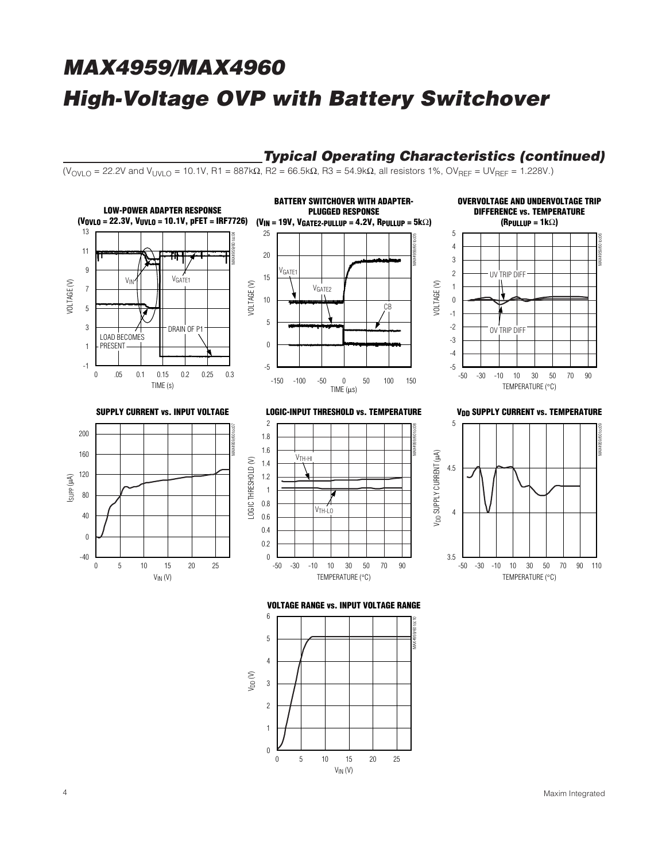### **Typical Operating Characteristics (continued)**

 $(V_{OVIO} = 22.2V$  and  $V_{UVIO} = 10.1V$ , R1 = 887kΩ, R2 = 66.5kΩ, R3 = 54.9kΩ, all resistors 1%, OV<sub>RFF</sub> = UV<sub>RFF</sub> = 1.228V.)



 $V_{IN} (V)$ 

 $\theta$ 

5 25 10 15 20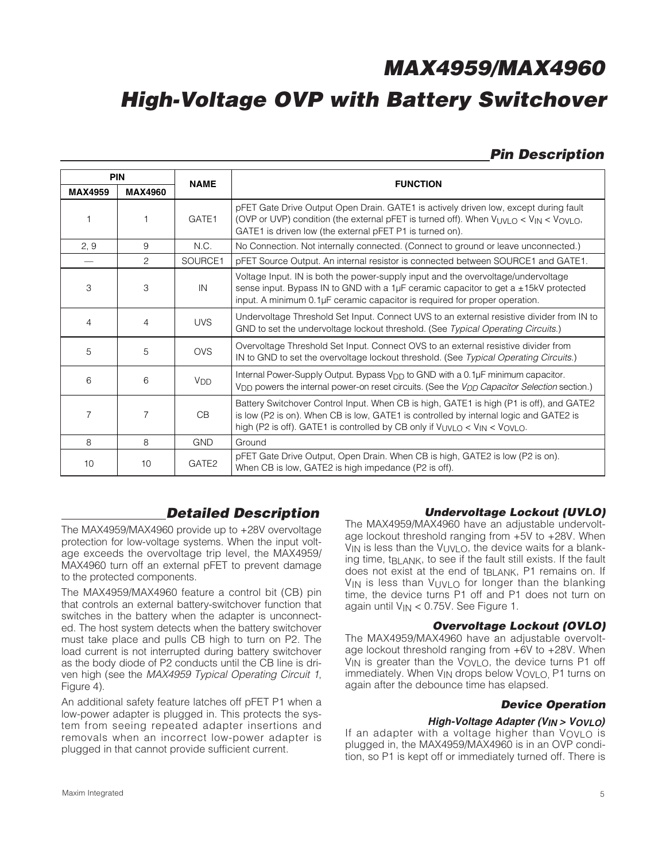## **Pin Description**

| <b>PIN</b>     |                | <b>NAME</b>           | <b>FUNCTION</b>                                                                                                                                                                                                                                                          |  |  |
|----------------|----------------|-----------------------|--------------------------------------------------------------------------------------------------------------------------------------------------------------------------------------------------------------------------------------------------------------------------|--|--|
| <b>MAX4959</b> | <b>MAX4960</b> |                       |                                                                                                                                                                                                                                                                          |  |  |
|                |                | GATE1                 | pFET Gate Drive Output Open Drain. GATE1 is actively driven low, except during fault<br>(OVP or UVP) condition (the external pFET is turned off). When $V_{UVLO} < V_{IN} < V_{OVLO}$ ,<br>GATE1 is driven low (the external pFET P1 is turned on).                      |  |  |
| 2, 9           | 9              | N.C.                  | No Connection. Not internally connected. (Connect to ground or leave unconnected.)                                                                                                                                                                                       |  |  |
|                | 2              | SOURCE1               | pFET Source Output. An internal resistor is connected between SOURCE1 and GATE1.                                                                                                                                                                                         |  |  |
| 3              | 3              | IN                    | Voltage Input. IN is both the power-supply input and the overvoltage/undervoltage<br>sense input. Bypass IN to GND with a 1µF ceramic capacitor to get a $\pm$ 15kV protected<br>input. A minimum 0.1µF ceramic capacitor is required for proper operation.              |  |  |
| 4              | 4              | <b>UVS</b>            | Undervoltage Threshold Set Input. Connect UVS to an external resistive divider from IN to<br>GND to set the undervoltage lockout threshold. (See Typical Operating Circuits.)                                                                                            |  |  |
| 5              | 5              | <b>OVS</b>            | Overvoltage Threshold Set Input. Connect OVS to an external resistive divider from<br>IN to GND to set the overvoltage lockout threshold. (See Typical Operating Circuits.)                                                                                              |  |  |
| 6              | 6              | <b>V<sub>DD</sub></b> | Internal Power-Supply Output. Bypass V <sub>DD</sub> to GND with a 0.1µF minimum capacitor.<br>V <sub>DD</sub> powers the internal power-on reset circuits. (See the V <sub>DD</sub> Capacitor Selection section.)                                                       |  |  |
| 7              | 7              | <b>CB</b>             | Battery Switchover Control Input. When CB is high, GATE1 is high (P1 is off), and GATE2<br>is low (P2 is on). When CB is low, GATE1 is controlled by internal logic and GATE2 is<br>high (P2 is off). GATE1 is controlled by CB only if $V_{UVLO} < V_{IN} < V_{OVLO}$ . |  |  |
| 8              | 8              | <b>GND</b>            | Ground                                                                                                                                                                                                                                                                   |  |  |
| 10             | 10             | GATE <sub>2</sub>     | pFET Gate Drive Output, Open Drain. When CB is high, GATE2 is low (P2 is on).<br>When CB is low, GATE2 is high impedance (P2 is off).                                                                                                                                    |  |  |

## **Detailed Description**

The MAX4959/MAX4960 provide up to +28V overvoltage protection for low-voltage systems. When the input voltage exceeds the overvoltage trip level, the MAX4959/ MAX4960 turn off an external pFET to prevent damage to the protected components.

The MAX4959/MAX4960 feature a control bit (CB) pin that controls an external battery-switchover function that switches in the battery when the adapter is unconnected. The host system detects when the battery switchover must take place and pulls CB high to turn on P2. The load current is not interrupted during battery switchover as the body diode of P2 conducts until the CB line is driven high (see the MAX4959 Typical Operating Circuit 1, Figure 4).

An additional safety feature latches off pFET P1 when a low-power adapter is plugged in. This protects the system from seeing repeated adapter insertions and removals when an incorrect low-power adapter is plugged in that cannot provide sufficient current.

#### **Undervoltage Lockout (UVLO)**

The MAX4959/MAX4960 have an adjustable undervoltage lockout threshold ranging from +5V to +28V. When  $V_{IN}$  is less than the  $V_{UVI}$   $\Omega$ , the device waits for a blanking time, tBLANK, to see if the fault still exists. If the fault does not exist at the end of t<sub>BLANK</sub>, P1 remains on. If V<sub>IN</sub> is less than V<sub>UVLO</sub> for longer than the blanking time, the device turns P1 off and P1 does not turn on again until  $V_{IN}$  < 0.75V. See Figure 1.

#### **Overvoltage Lockout (OVLO)**

The MAX4959/MAX4960 have an adjustable overvoltage lockout threshold ranging from +6V to +28V. When V<sub>IN</sub> is greater than the V<sub>OVLO</sub>, the device turns P1 off immediately. When V<sub>IN</sub> drops below V<sub>OVLO</sub> P1 turns on again after the debounce time has elapsed.

#### **Device Operation**

#### **High-Voltage Adapter (VIN > VOVLO)**

If an adapter with a voltage higher than VOVLO is plugged in, the MAX4959/MAX4960 is in an OVP condition, so P1 is kept off or immediately turned off. There is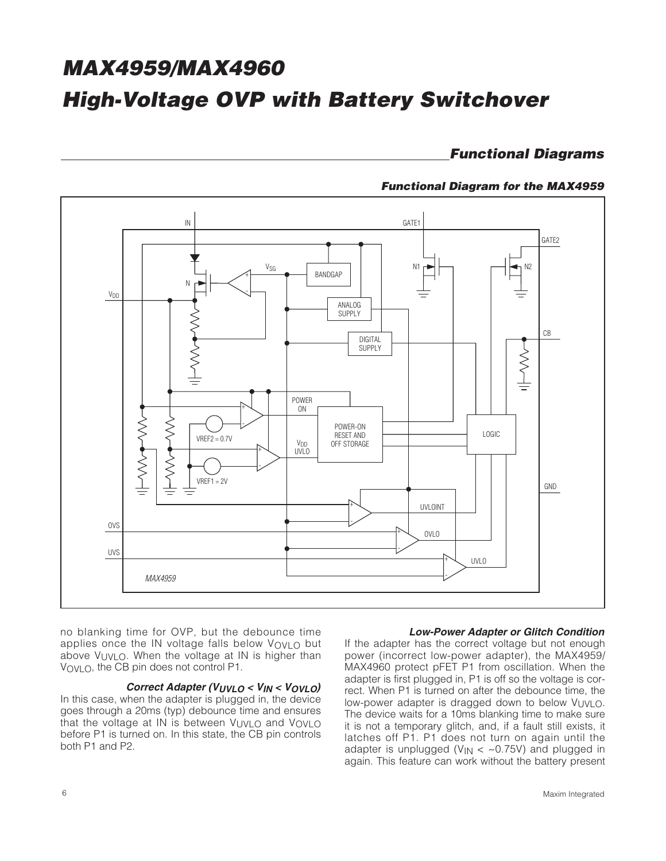**Functional Diagrams**

#### **Functional Diagram for the MAX4959**



no blanking time for OVP, but the debounce time applies once the IN voltage falls below VOVLO but above VUVLO. When the voltage at IN is higher than VOVLO, the CB pin does not control P1.

#### **Correct Adapter (VUVLO < VIN < VOVLO)**

In this case, when the adapter is plugged in, the device goes through a 20ms (typ) debounce time and ensures that the voltage at IN is between VUVLO and VOVLO before P1 is turned on. In this state, the CB pin controls both P1 and P2.

#### **Low-Power Adapter or Glitch Condition**

If the adapter has the correct voltage but not enough power (incorrect low-power adapter), the MAX4959/ MAX4960 protect pFET P1 from oscillation. When the adapter is first plugged in, P1 is off so the voltage is correct. When P1 is turned on after the debounce time, the low-power adapter is dragged down to below VUVLO. The device waits for a 10ms blanking time to make sure it is not a temporary glitch, and, if a fault still exists, it latches off P1. P1 does not turn on again until the adapter is unplugged ( $V_{IN} <$  ~0.75V) and plugged in again. This feature can work without the battery present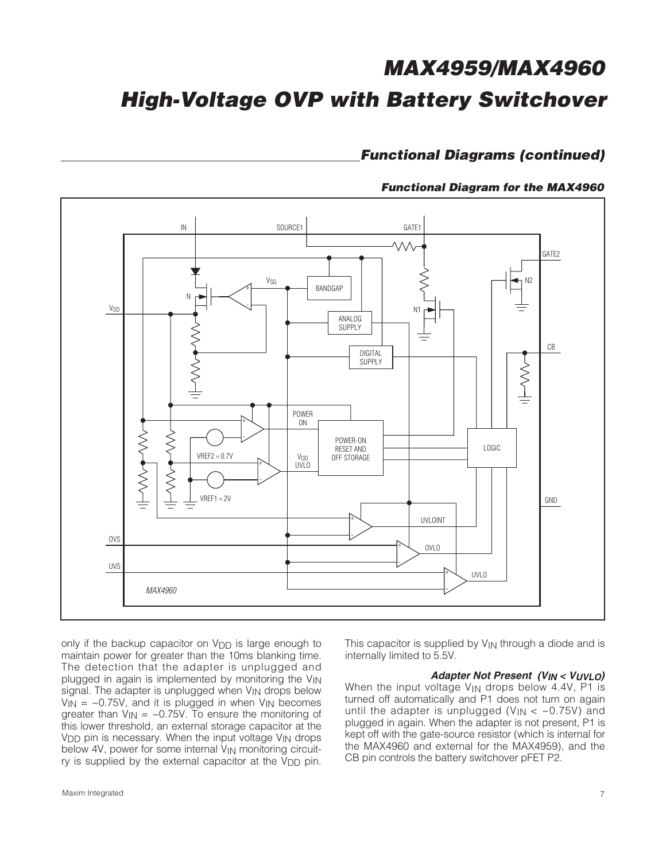### **Functional Diagrams (continued)**

#### **Functional Diagram for the MAX4960**



only if the backup capacitor on V<sub>DD</sub> is large enough to maintain power for greater than the 10ms blanking time. The detection that the adapter is unplugged and plugged in again is implemented by monitoring the  $V_{\text{IN}}$ signal. The adapter is unplugged when V<sub>IN</sub> drops below  $V_{IN}$  = ~0.75V, and it is plugged in when  $V_{IN}$  becomes greater than  $V_{IN} = -0.75V$ . To ensure the monitoring of this lower threshold, an external storage capacitor at the  $V<sub>DD</sub>$  pin is necessary. When the input voltage  $V<sub>IN</sub>$  drops below 4V, power for some internal V<sub>IN</sub> monitoring circuitry is supplied by the external capacitor at the  $V_{\text{DD}}$  pin.

This capacitor is supplied by VIN through a diode and is internally limited to 5.5V.

#### **Adapter Not Present (VIN < VUVLO)**

When the input voltage V<sub>IN</sub> drops below 4.4V, P1 is turned off automatically and P1 does not turn on again until the adapter is unplugged ( $V_{IN} <$  ~0.75V) and plugged in again. When the adapter is not present, P1 is kept off with the gate-source resistor (which is internal for the MAX4960 and external for the MAX4959), and the CB pin controls the battery switchover pFET P2.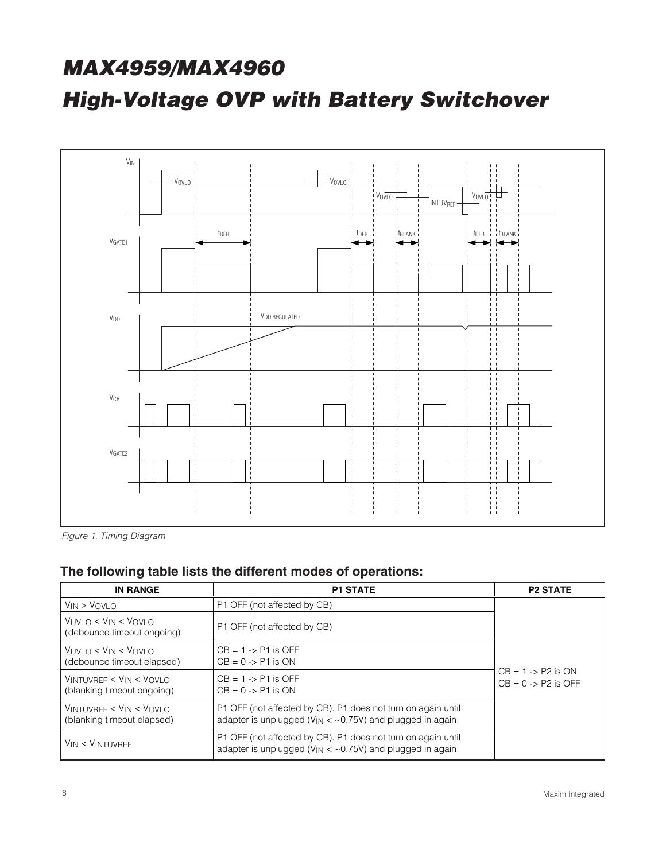

Figure 1. Timing Diagram

### **The following table lists the different modes of operations:**

| <b>IN RANGE</b>                                                                       | <b>P1 STATE</b>                                                                                                                 | <b>P2 STATE</b>                                           |
|---------------------------------------------------------------------------------------|---------------------------------------------------------------------------------------------------------------------------------|-----------------------------------------------------------|
| $V_{IN} > V_{OVLO}$                                                                   | P1 OFF (not affected by CB)                                                                                                     |                                                           |
| VUVLO < VIN < VOVLO<br>(debounce timeout ongoing)                                     | P1 OFF (not affected by CB)                                                                                                     |                                                           |
| VUVLO < VIN < VOVLO<br>(debounce timeout elapsed)                                     | $CB = 1 - > P1$ is OFF<br>$CB = 0 \rightarrow P1$ is ON                                                                         |                                                           |
| $V_{\text{INTUVREF}} < V_{\text{IN}} < V_{\text{OVLO}}$<br>(blanking timeout ongoing) | $CB = 1 - > P1$ is OFF<br>$CB = 0 \rightarrow P1$ is ON                                                                         | $CB = 1 - \ge 12$ is ON<br>$CB = 0 \rightarrow P2$ is OFF |
| $V_{\text{INTUVREF}} < V_{\text{IN}} < V_{\text{OVLO}}$<br>(blanking timeout elapsed) | P1 OFF (not affected by CB). P1 does not turn on again until<br>adapter is unplugged ( $V_{IN} <$ ~0.75V) and plugged in again. |                                                           |
| $V_{IN} < V_{INTUVREF}$                                                               | P1 OFF (not affected by CB). P1 does not turn on again until<br>adapter is unplugged ( $V_{IN} <$ ~0.75V) and plugged in again. |                                                           |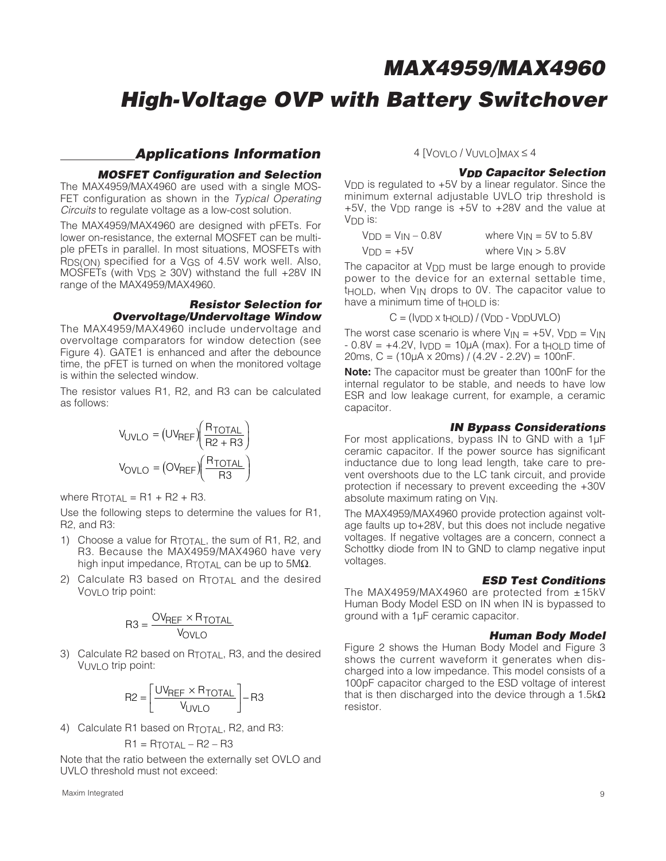## **High-Voltage OVP with Battery Switchover**

#### **Applications Information**

#### **MOSFET Configuration and Selection**

The MAX4959/MAX4960 are used with a single MOS-FET configuration as shown in the Typical Operating Circuits to regulate voltage as a low-cost solution.

The MAX4959/MAX4960 are designed with pFETs. For lower on-resistance, the external MOSFET can be multiple pFETs in parallel. In most situations, MOSFETs with  $R_{DS(ON)}$  specified for a  $V_{GS}$  of 4.5V work well. Also, MOSFETs (with  $V_{DS} \geq 30V$ ) withstand the full +28V IN range of the MAX4959/MAX4960.

#### **Resistor Selection for Overvoltage/Undervoltage Window**

The MAX4959/MAX4960 include undervoltage and overvoltage comparators for window detection (see Figure 4). GATE1 is enhanced and after the debounce time, the pFET is turned on when the monitored voltage is within the selected window.

The resistor values R1, R2, and R3 can be calculated as follows:

$$
V_{UVLO} = (UV_{REF}) \left(\frac{R_{TOTAL}}{R2 + R3}\right)
$$

$$
V_{OVLO} = (OV_{REF}) \left(\frac{R_{TOTAL}}{R3}\right)
$$

where  $R_{\text{TOTAL}} = R1 + R2 + R3$ .

Use the following steps to determine the values for R1, R2, and R3:

- 1) Choose a value for RTOTAL, the sum of R1, R2, and R3. Because the MAX4959/MAX4960 have very high input impedance,  $R_{\text{TOTAL}}$  can be up to 5MΩ.
- 2) Calculate R3 based on RTOTAL and the desired  $V_{\text{OVI}} \cap \text{trip point}$ :

$$
R3 = \frac{OV_{REF} \times R_{TOTAL}}{V_{OVLO}}
$$

3) Calculate R2 based on R<sub>TOTAL</sub>, R3, and the desired  $V_{UVI} \cap \text{trip point}$ :

$$
R2 = \left[\frac{UV_{REF} \times R_{TOTAL}}{V_{UVLO}}\right] - R3
$$

4) Calculate R1 based on RTOTAL, R2, and R3:

$$
R1 = R_{\text{TOTAL}} - R2 - R3
$$

Note that the ratio between the externally set OVLO and UVLO threshold must not exceed:

#### $4$  [VOVLO / VUVLO]MAX  $\leq 4$

#### **VDD Capacitor Selection**

VDD is regulated to +5V by a linear regulator. Since the minimum external adjustable UVLO trip threshold is  $+5V$ , the V<sub>DD</sub> range is  $+5V$  to  $+28V$  and the value at V<sub>DD</sub> is:

| $VDD = VIN - 0.8V$ | where $V_{IN} = 5V$ to 5.8V |
|--------------------|-----------------------------|
| $VDD = +5V$        | where $V_{IN} > 5.8V$       |

The capacitor at V<sub>DD</sub> must be large enough to provide power to the device for an external settable time, thold, when V<sub>IN</sub> drops to 0V. The capacitor value to have a minimum time of  $t \nightharpoonup$  is:

$$
C = (I_{\text{VDD}} \times t_{\text{HOLD}}) / (V_{\text{DD}} - V_{\text{DD}} U_{\text{VLO}})
$$

The worst case scenario is where  $V_{IN} = +5V$ ,  $V_{DD} = V_{IN}$  $-0.8V = +4.2V$ ,  $I_{VDD} = 10\mu A$  (max). For a t<sub>HOLD</sub> time of 20ms, C = (10µA x 20ms) / (4.2V - 2.2V) = 100nF.

**Note:** The capacitor must be greater than 100nF for the internal regulator to be stable, and needs to have low ESR and low leakage current, for example, a ceramic capacitor.

#### **IN Bypass Considerations**

For most applications, bypass IN to GND with a 1µF ceramic capacitor. If the power source has significant inductance due to long lead length, take care to prevent overshoots due to the LC tank circuit, and provide protection if necessary to prevent exceeding the +30V absolute maximum rating on V<sub>IN</sub>.

The MAX4959/MAX4960 provide protection against voltage faults up to+28V, but this does not include negative voltages. If negative voltages are a concern, connect a Schottky diode from IN to GND to clamp negative input voltages.

#### **ESD Test Conditions**

The MAX4959/MAX4960 are protected from ±15kV Human Body Model ESD on IN when IN is bypassed to ground with a 1µF ceramic capacitor.

#### **Human Body Model**

Figure 2 shows the Human Body Model and Figure 3 shows the current waveform it generates when discharged into a low impedance. This model consists of a 100pF capacitor charged to the ESD voltage of interest that is then discharged into the device through a  $1.5k\Omega$ resistor.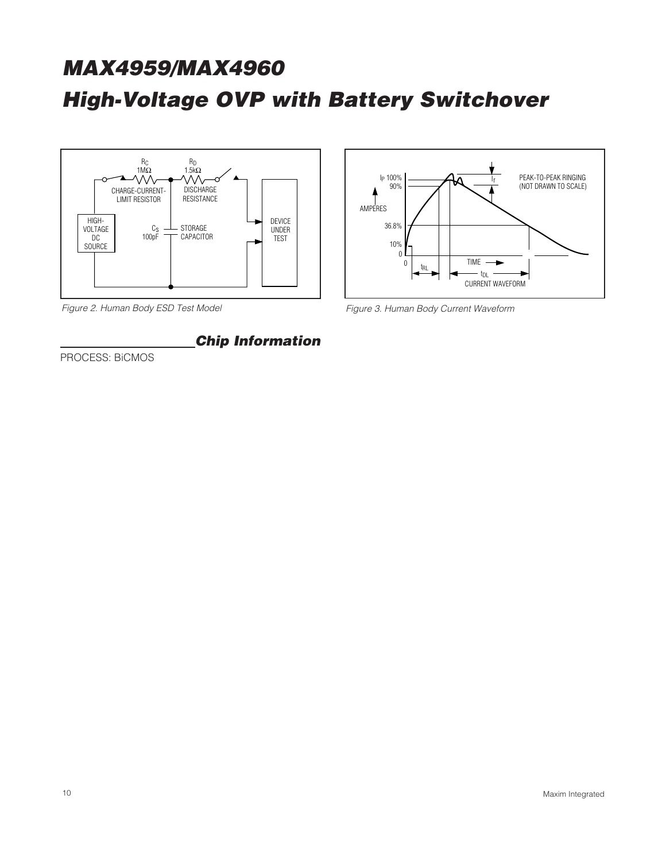

**Chip Information**

Figure 2. Human Body ESD Test Model



Figure 3. Human Body Current Waveform

PROCESS: BiCMOS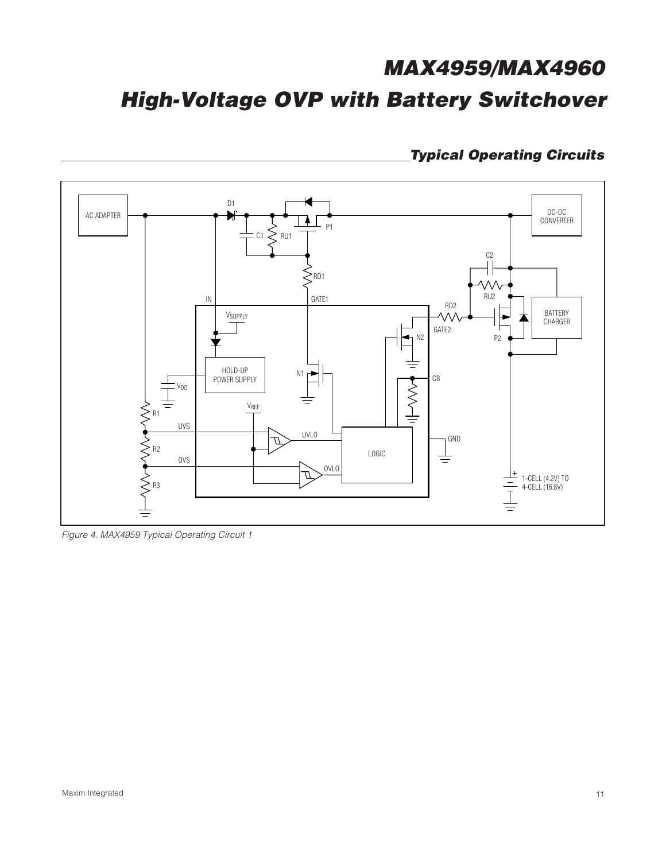## **Typical Operating Circuits**



Figure 4. MAX4959 Typical Operating Circuit 1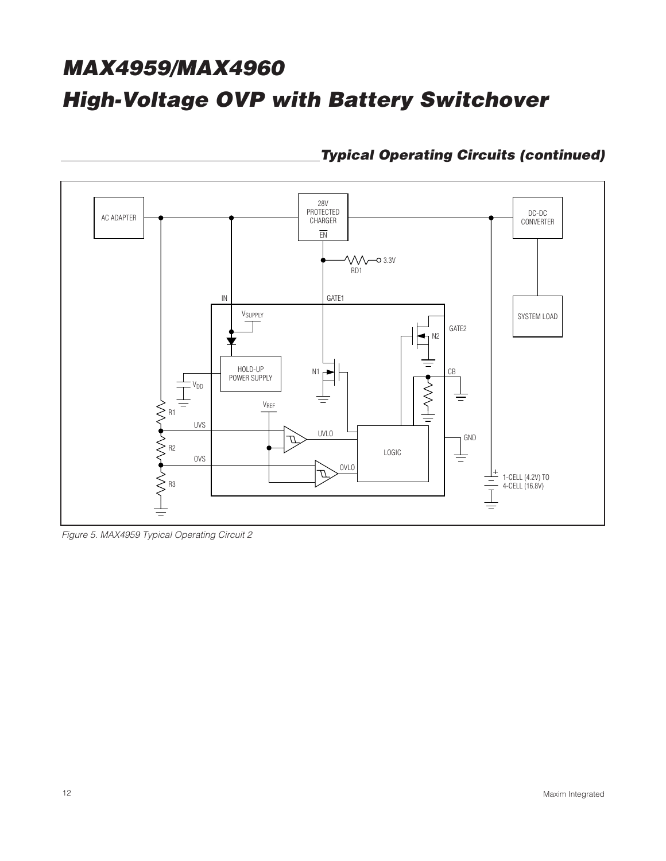

**Typical Operating Circuits (continued)**

Figure 5. MAX4959 Typical Operating Circuit 2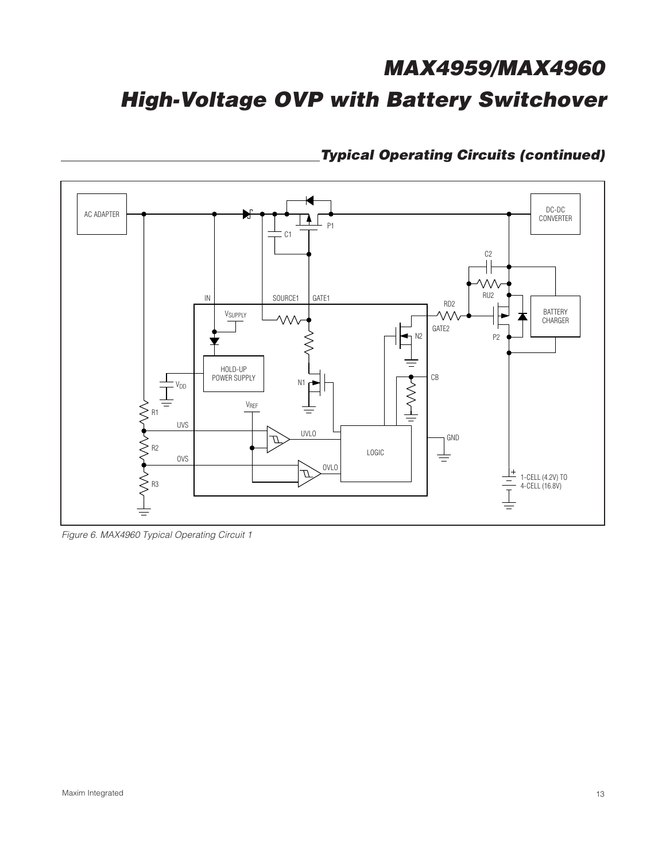

**Typical Operating Circuits (continued)**

Figure 6. MAX4960 Typical Operating Circuit 1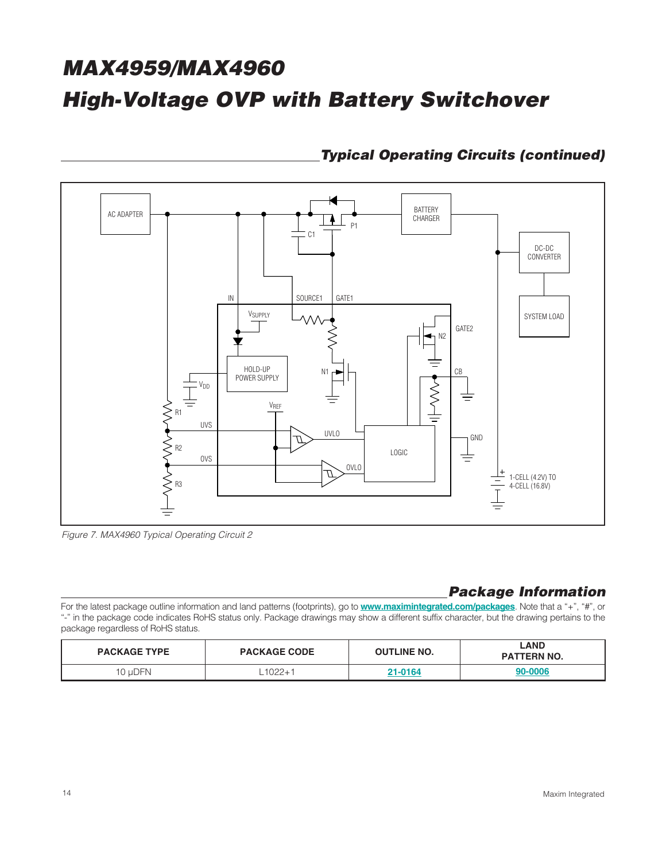

### **Typical Operating Circuits (continued)**

Figure 7. MAX4960 Typical Operating Circuit 2

## **Package Information**

For the latest package outline information and land patterns (footprints), go to **www.maximintegrated.com/packages**. Note that a "+", "#", or "-" in the package code indicates RoHS status only. Package drawings may show a different suffix character, but the drawing pertains to the package regardless of RoHS status.

| <b>PACKAGE TYPE</b> | <b>PACKAGE CODE</b> |         | <b>LAND</b><br><b>PATTERN NO.</b> |
|---------------------|---------------------|---------|-----------------------------------|
| 10 uDFN             | $1022 + 1$          | 21-0164 | 90-0006                           |